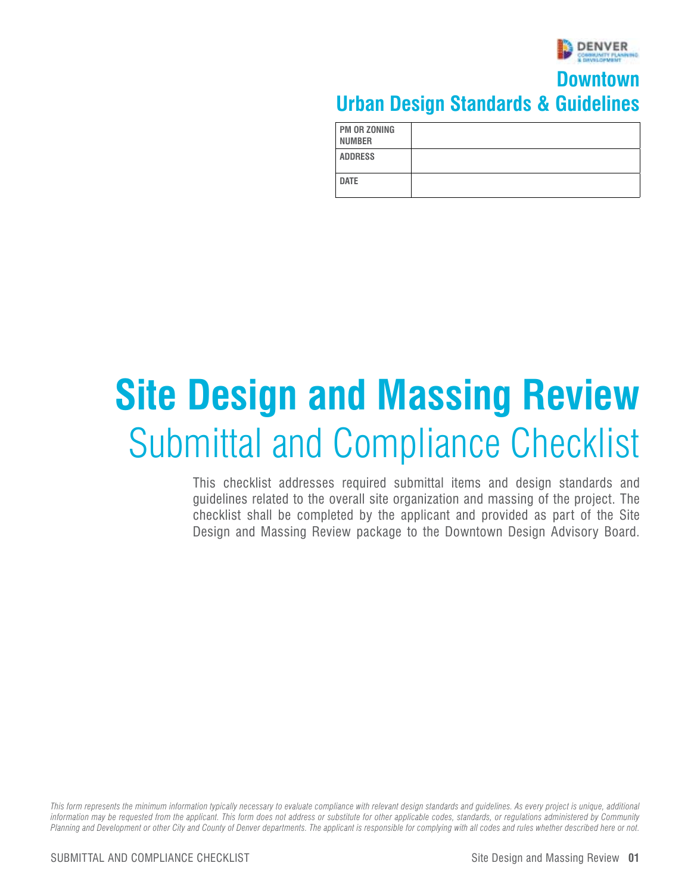

#### **Downtown Urban Design Standards & Guidelines**

| <b>PM OR ZONING</b><br><b>NUMBER</b> |  |
|--------------------------------------|--|
| <b>ADDRESS</b>                       |  |
| <b>DATE</b>                          |  |

# **Site Design and Massing Review**  Submittal and Compliance Checklist

This checklist addresses required submittal items and design standards and guidelines related to the overall site organization and massing of the project. The checklist shall be completed by the applicant and provided as part of the Site Design and Massing Review package to the Downtown Design Advisory Board.

*This form represents the minimum information typically necessary to evaluate compliance with relevant design standards and guidelines. As every project is unique, additional information may be requested from the applicant. This form does not address or substitute for other applicable codes, standards, or regulations administered by Community Planning and Development or other City and County of Denver departments. The applicant is responsible for complying with all codes and rules whether described here or not.*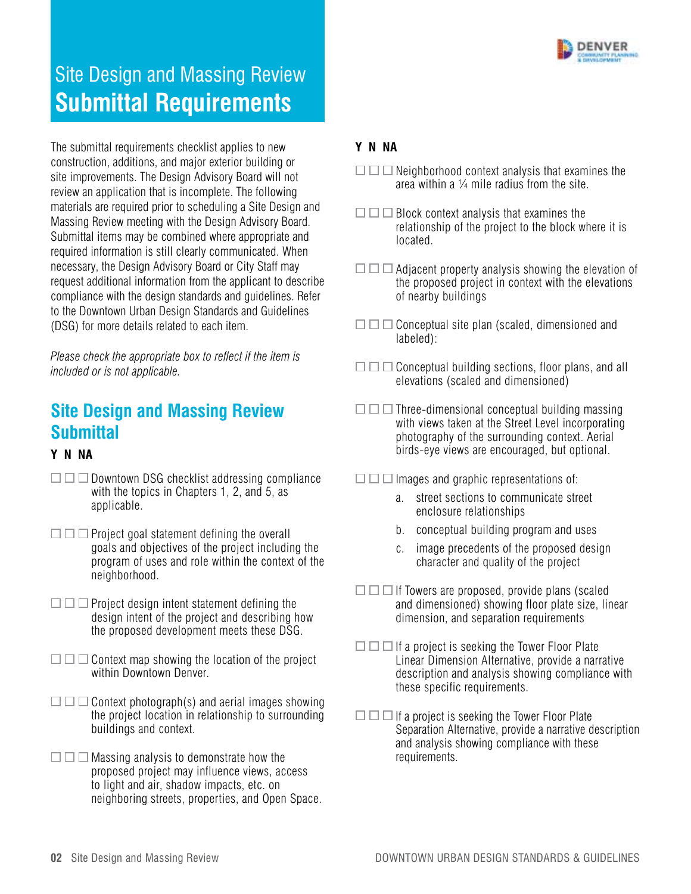

### **Submittal Requirements** Site Design and Massing Review

construction, additions, and major exterior building or  $\square \square \square \square$  Neighborhood context analysis that examines the<br>site improvements. The Design Advisory Board will not area within a 1⁄4 mile radius from the site.<br>review necessary, the Design Advisory Board or City Staff may  $\Box\Box\Box$  Adjacent property analysis showing the elevation of The submittal requirements checklist applies to new **Y N NA**  materials are required prior to scheduling a Site Design and<br>Massing Review meeting with the Design Advisory Board.<br>Submittal items may be combined where appropriate and leased by the project to the block where it is required information is still clearly communicated. When compliance with the design standards and guidelines. Refer to the Downtown Urban Design Standards and Guidelines

- $\Box$   $\Box$  Downtown DSG checklist addressing compliance Downtown DSG checklist addressing compliance  $\Box\Box\Box$  Images and graphic representations of: with the topics in Chapters 1, 2, and 5, as a. street sections to communicate street<br>applicable. enclosure relationships
- $\square \square$  Project goal statement defining the overall  $\rule{1em}{0.25mm}$  b. conceptual building program and uses goals and objectives of the project including the c. image precedents of the proposed design program of uses and role within the context of the context of the context context of the character and quality of the project program of uses and role within the context of the neighborhood.
- $\Box$   $\Box$  Proiect design intent statement defining the the proposed development meets these DSG.
- $\Box$   $\Box$   $\Box$  Context map showing the location of the project
- $\square \square$  Context photograph(s) and aerial images showing buildings and context.
- $\square \square$  Massing analysis to demonstrate how the requirements. proposed project may influence views, access to light and air, shadow impacts, etc. on neighboring streets, properties, and Open Space.

- 
- $\Box$   $\Box$  Block context analysis that examines the
- request additional information from the applicant to describe the proposed project in context with the elevations<br>compliance with the design standards and quidelines. Refer on the proposed project in context with the eleva
- (DSG) for more details related to each item.  $\square \square \square \square$  Conceptual site plan (scaled, dimensioned and labeled):
- *Please check the appropriate box to reflect if the item is* Conceptual building sections, floor plans, and all *included or is not applicable.* elevations (scaled and dimensioned)
- $\Box$   $\Box$  Three-dimensional conceptual building massing **Site Design and Massing Review Design and Massing Review Development Conceptual building massing Conceptual building massing Conceptual building massing Conceptual building massing** with views taken at the Street Level incorporating **Submittal** photography of the surrounding context. Aerial birds-eye views are encouraged, but optional. **Y N NA** 
	- -
		-
		-
	- $\square \square$  If Towers are proposed, provide plans (scaled Project design intent statement defining the and and dimensioned) showing floor plate size, linear<br>design intent of the project and describing how dimension and separation requirements dimension, and separation requirements
	- $\square \square$  If a project is seeking the Tower Floor Plate Context map showing the location of the project Linear Dimension Alternative, provide a narrative<br>Within Downtown Denver. description and analysis showing compliance with these specific requirements.
	- the project location in relationship to surrounding  $\hskip10mm \square\,\square\,\square\,\square$  If a project is seeking the Tower Floor Plate Separation Alternative, provide a narrative description and analysis showing compliance with these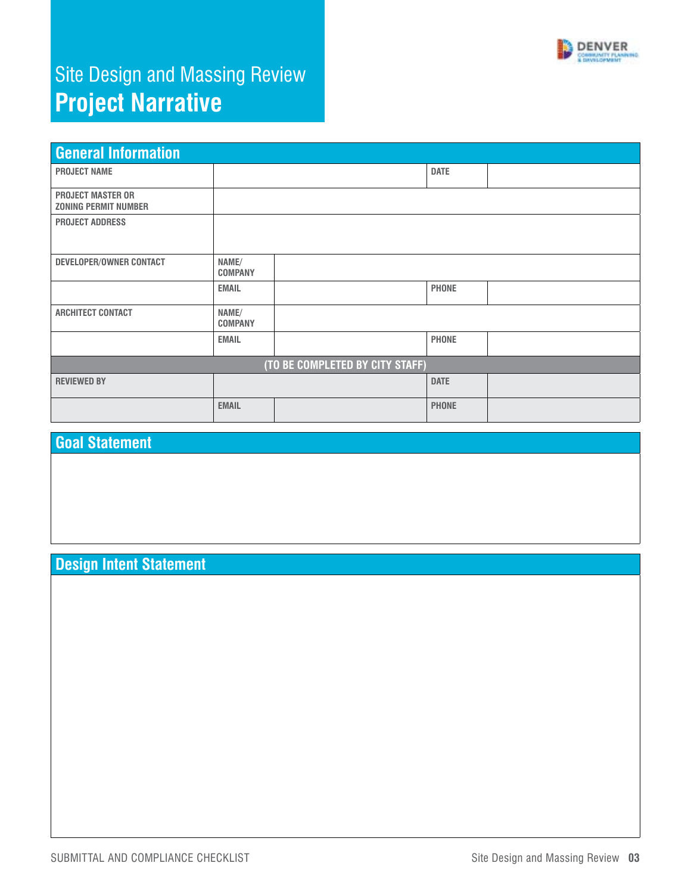

# Site Design and Massing Review **Project Narrative**

| <b>General Information</b>                              |                         |  |              |  |  |  |  |  |
|---------------------------------------------------------|-------------------------|--|--------------|--|--|--|--|--|
| <b>PROJECT NAME</b>                                     |                         |  | <b>DATE</b>  |  |  |  |  |  |
| <b>PROJECT MASTER OR</b><br><b>ZONING PERMIT NUMBER</b> |                         |  |              |  |  |  |  |  |
| <b>PROJECT ADDRESS</b>                                  |                         |  |              |  |  |  |  |  |
| DEVELOPER/OWNER CONTACT                                 | NAME/<br><b>COMPANY</b> |  |              |  |  |  |  |  |
|                                                         | <b>EMAIL</b>            |  | <b>PHONE</b> |  |  |  |  |  |
| <b>ARCHITECT CONTACT</b>                                | NAME/<br><b>COMPANY</b> |  |              |  |  |  |  |  |
|                                                         | <b>EMAIL</b>            |  | <b>PHONE</b> |  |  |  |  |  |
| (TO BE COMPLETED BY CITY STAFF)                         |                         |  |              |  |  |  |  |  |
| <b>REVIEWED BY</b>                                      |                         |  | <b>DATE</b>  |  |  |  |  |  |
|                                                         | <b>EMAIL</b>            |  | <b>PHONE</b> |  |  |  |  |  |

#### **Goal Statement**

#### **Design Intent Statement**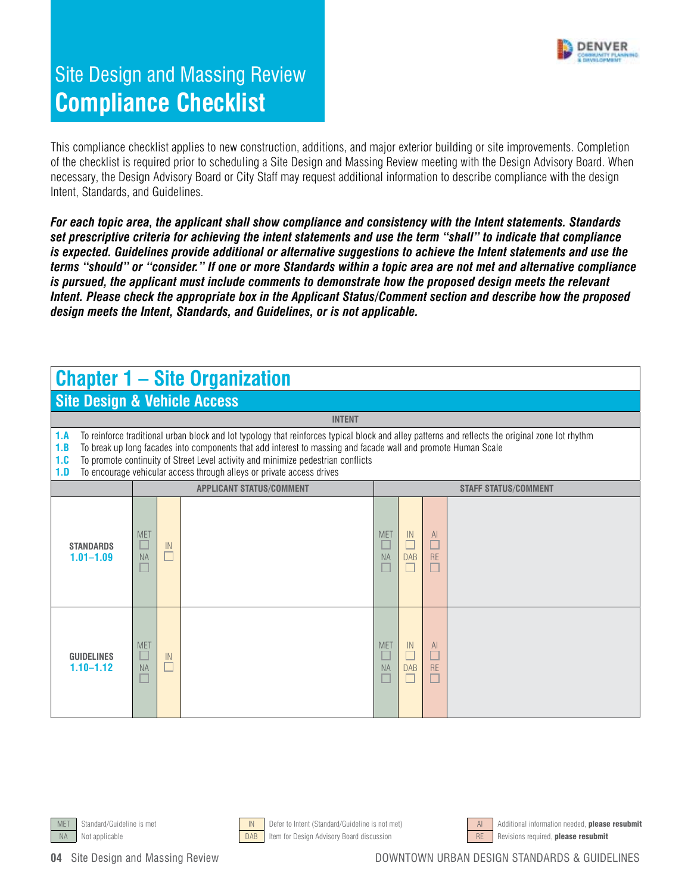

This compliance checklist applies to new construction, additions, and major exterior building or site improvements. Completion of the checklist is required prior to scheduling a Site Design and Massing Review meeting with the Design Advisory Board. When necessary, the Design Advisory Board or City Staff may request additional information to describe compliance with the design Intent, Standards, and Guidelines.

*For each topic area, the applicant shall show compliance and consistency with the Intent statements. Standards set prescriptive criteria for achieving the intent statements and use the term "shall" to indicate that compliance is expected. Guidelines provide additional or alternative suggestions to achieve the Intent statements and use the terms "should" or "consider." If one or more Standards within a topic area are not met and alternative compliance is pursued, the applicant must include comments to demonstrate how the proposed design meets the relevant Intent. Please check the appropriate box in the Applicant Status/Comment section and describe how the proposed design meets the Intent, Standards, and Guidelines, or is not applicable.* 

#### **Chapter 1 – Site Organization**

#### **Site Design & Vehicle Access**

**1.A** To reinforce traditional urban block and lot typology that reinforces typical block and alley patterns and reflects the original zone lot rhythm

**INTENT** 

- **1.B** To break up long facades into components that add interest to massing and facade wall and promote Human Scale
- **1.C** To promote continuity of Street Level activity and minimize pedestrian conflicts
- **1.D** To encourage vehicular access through alleys or private access drives

| .                                  | To onoodrago volnodiar aboossi mibagii anovsi or privato aboossi arrvosi |                  |                                 |                                 |           |                         |  |  |  |
|------------------------------------|--------------------------------------------------------------------------|------------------|---------------------------------|---------------------------------|-----------|-------------------------|--|--|--|
|                                    |                                                                          |                  | <b>APPLICANT STATUS/COMMENT</b> | <b>STAFF STATUS/COMMENT</b>     |           |                         |  |  |  |
| <b>STANDARDS</b><br>$1.01 - 1.09$  | <b>MET</b><br>⊔<br>NA<br>$\Box$                                          | ${\sf IN}$<br>a. |                                 | <b>MET</b><br>Е<br>NA<br>Е      | IN<br>DAB | AI<br>г<br>RE<br>$\Box$ |  |  |  |
| <b>GUIDELINES</b><br>$1.10 - 1.12$ | <b>MET</b><br>⊔<br><b>NA</b><br>⊔                                        | ${\sf IN}$       |                                 | <b>MET</b><br>L<br>NA<br>$\Box$ | IN<br>DAB | AI<br>RE                |  |  |  |





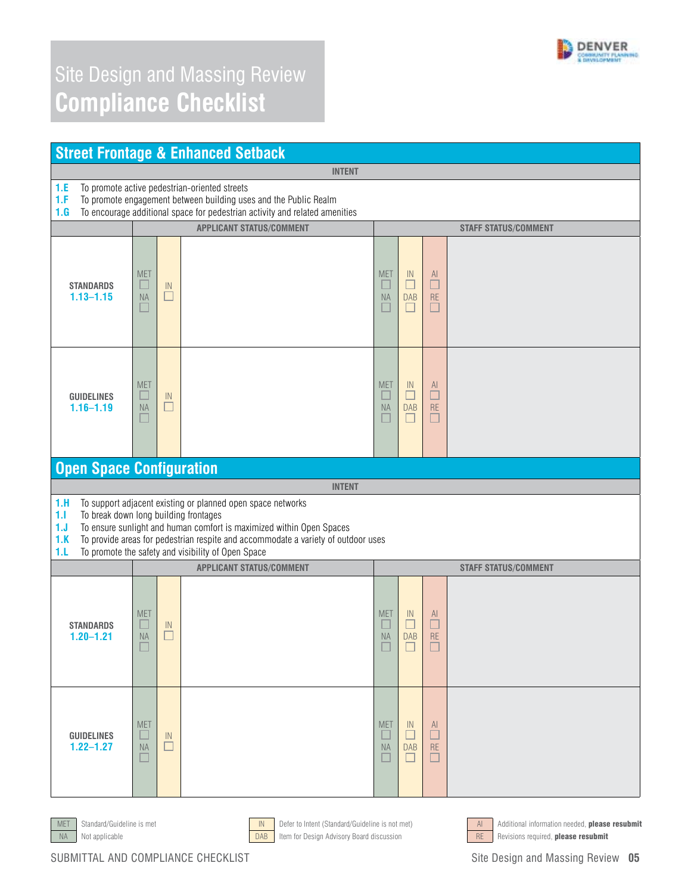

| <b>Street Frontage &amp; Enhanced Setback</b>                             |                                                                                                                                                                                                  |                                             |                                                                                                                                                                                                                                                                                |                            |                                      |                                      |                             |  |  |  |
|---------------------------------------------------------------------------|--------------------------------------------------------------------------------------------------------------------------------------------------------------------------------------------------|---------------------------------------------|--------------------------------------------------------------------------------------------------------------------------------------------------------------------------------------------------------------------------------------------------------------------------------|----------------------------|--------------------------------------|--------------------------------------|-----------------------------|--|--|--|
|                                                                           |                                                                                                                                                                                                  |                                             | <b>INTENT</b>                                                                                                                                                                                                                                                                  |                            |                                      |                                      |                             |  |  |  |
| 1.E<br>1.F<br>1.G                                                         | To promote active pedestrian-oriented streets<br>To promote engagement between building uses and the Public Realm<br>To encourage additional space for pedestrian activity and related amenities |                                             |                                                                                                                                                                                                                                                                                |                            |                                      |                                      |                             |  |  |  |
|                                                                           |                                                                                                                                                                                                  |                                             | <b>APPLICANT STATUS/COMMENT</b>                                                                                                                                                                                                                                                |                            |                                      |                                      | <b>STAFF STATUS/COMMENT</b> |  |  |  |
| <b>STANDARDS</b><br>$1.13 - 1.15$                                         | <b>MET</b><br>ш<br><b>NA</b>                                                                                                                                                                     | $\ensuremath{\mathsf{IN}}\xspace$<br>$\Box$ |                                                                                                                                                                                                                                                                                | <b>MET</b><br><b>NA</b>    | IN<br>□<br><b>DAB</b><br>$\Box$      | $\mathsf{Al}$<br>$\Box$<br><b>RE</b> |                             |  |  |  |
| <b>GUIDELINES</b><br>$1.16 - 1.19$                                        | <b>MET</b><br>ப<br><b>NA</b>                                                                                                                                                                     | $\ensuremath{\mathsf{IN}}\xspace$<br>ш      |                                                                                                                                                                                                                                                                                | <b>MET</b><br>$\Box$<br>NA | IN<br>$\Box$<br><b>DAB</b><br>$\Box$ | Al<br>$\Box$<br><b>RE</b>            |                             |  |  |  |
| <b>Open Space Configuration</b>                                           |                                                                                                                                                                                                  |                                             |                                                                                                                                                                                                                                                                                |                            |                                      |                                      |                             |  |  |  |
|                                                                           |                                                                                                                                                                                                  |                                             | <b>INTENT</b>                                                                                                                                                                                                                                                                  |                            |                                      |                                      |                             |  |  |  |
| 1.H<br>1.1<br>To break down long building frontages<br>1. J<br>1.K<br>1.L |                                                                                                                                                                                                  |                                             | To support adjacent existing or planned open space networks<br>To ensure sunlight and human comfort is maximized within Open Spaces<br>To provide areas for pedestrian respite and accommodate a variety of outdoor uses<br>To promote the safety and visibility of Open Space |                            |                                      |                                      |                             |  |  |  |
|                                                                           |                                                                                                                                                                                                  |                                             | <b>APPLICANT STATUS/COMMENT</b>                                                                                                                                                                                                                                                |                            |                                      |                                      | <b>STAFF STATUS/COMMENT</b> |  |  |  |
| <b>STANDARDS</b><br>$1.20 - 1.21$                                         | <b>MET</b><br><b>NA</b><br>$\Box$                                                                                                                                                                | IN                                          |                                                                                                                                                                                                                                                                                | <b>MET</b><br><b>NA</b>    | IN<br><b>DAB</b><br>$\Box$           | $\mathsf{Al}$<br>□<br><b>RE</b>      |                             |  |  |  |
| <b>GUIDELINES</b><br>$1.22 - 1.27$                                        | <b>MET</b><br><b>NA</b>                                                                                                                                                                          | IN<br>$\Box$                                |                                                                                                                                                                                                                                                                                | <b>MET</b><br><b>NA</b>    | -IN<br><b>DAB</b>                    | -AI<br><b>RE</b>                     |                             |  |  |  |



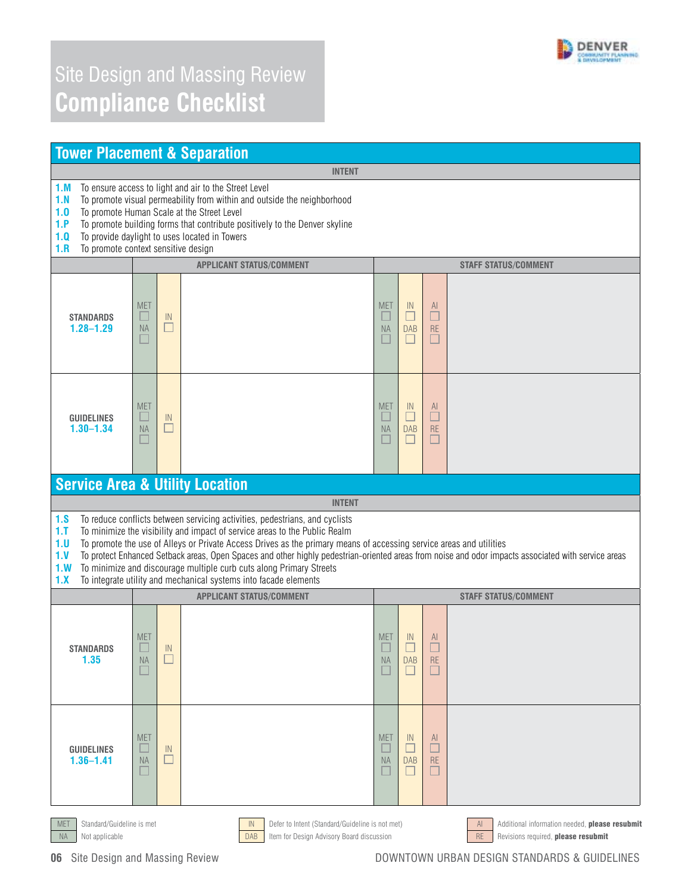

#### **Tower Placement & Separation INTENT 1.M** To ensure access to light and air to the Street Level **1.N** To promote visual permeability from within and outside the neighborhood **1.O** To promote Human Scale at the Street Level **1.P** To promote building forms that contribute positively to the Denver skyline **1.Q** To provide daylight to uses located in Towers<br>**1.R** To promote context sensitive design To promote context sensitive design **APPLICANT STATUS/COMMENT STAFF STATUS/COMMENT**  MET<br><sup>1</sup> MET<br><sup>1</sup>  $\begin{array}{c} \hline N \\ \hline \end{array}$  $\overline{\square}$ **STANDARDS**   $\frac{1}{\Box}$ **1.28–1.29**   $M^{\text{AA}}$ DAB  $\overline{\square}$ NA **FRI** □ **MET**  $\overline{\square}$ MET  $\frac{1}{\Box}$ **GUIDELINES**  □  $\overline{\square}$ ш **1.30–1.34**   $\overline{\square}$ DAB<br>  $\Box$ RE<br>
<sup>—</sup> NA **Service Area & Utility Location INTENT 1.S** To reduce conflicts between servicing activities, pedestrians, and cyclists **1.T** To minimize the visibility and impact of service areas to the Public Realm **1.U** To promote the use of Alleys or Private Access Drives as the primary means of accessing service areas and utilities **1.V** To protect Enhanced Setback areas, Open Spaces and other highly pedestrian-oriented areas from noise and odor impacts associated with service areas **1.W** To minimize and discourage multiple curb cuts along Primary Streets **1.X** To integrate utility and mechanical systems into facade elements **APPLICANT STATUS/COMMENT STAFF STATUS/COMMENT**  MET<br><sup>1</sup> MET<br>  $\Box$  $\overline{\square}$  $\begin{array}{c}\n\hline\n\end{array}$ **STANDARDS**   $\overline{\square}$  $rac{RE}{\Box}$ **1.35**  NA  $M_A$ DAB<br>  $\Box$ MET MET  $\frac{1}{\sqrt{2}}$  $\frac{Al}{\Box}$ **GUIDELINES**  П IN П **1.36–1.41**  NA □ NA DAB RE п  $\Box$ □ □ MET Standard/Guideline is met **IN Defer to Intent (Standard/Guideline is not met)** AI Additional information needed, **please resubmit** NA Not applicable **DAB** Item for Design Advisory Board discussion RE Revisions required, **please resubmit**

**06** Site Design and Massing Review **DESIGN STANDARDS ASSESS** AND EXAMPLE ON DOWNTOWN URBAN DESIGN STANDARDS & GUIDELINES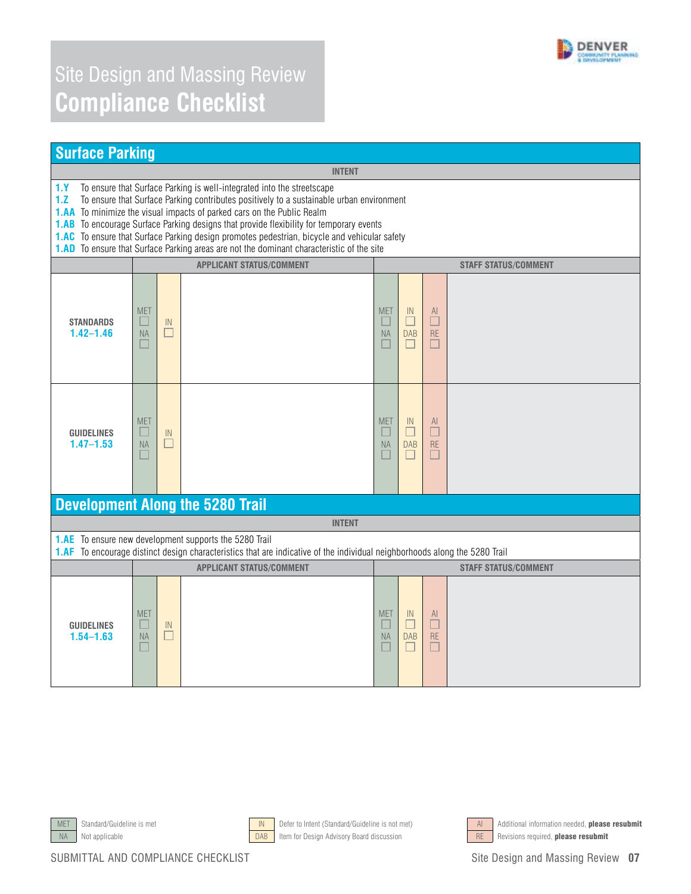

| <b>Surface Parking</b>                                                                                                                                                                                                                                                                                                                                                                                                                                                                                                                                                  |                              |                        |                                                                                                                                                                                             |                                                    |                                                 |                                                 |                             |
|-------------------------------------------------------------------------------------------------------------------------------------------------------------------------------------------------------------------------------------------------------------------------------------------------------------------------------------------------------------------------------------------------------------------------------------------------------------------------------------------------------------------------------------------------------------------------|------------------------------|------------------------|---------------------------------------------------------------------------------------------------------------------------------------------------------------------------------------------|----------------------------------------------------|-------------------------------------------------|-------------------------------------------------|-----------------------------|
|                                                                                                                                                                                                                                                                                                                                                                                                                                                                                                                                                                         |                              |                        | <b>INTENT</b>                                                                                                                                                                               |                                                    |                                                 |                                                 |                             |
| To ensure that Surface Parking is well-integrated into the streetscape<br>1.1<br>To ensure that Surface Parking contributes positively to a sustainable urban environment<br>1.2<br><b>1.AA</b> To minimize the visual impacts of parked cars on the Public Realm<br><b>1.AB</b> To encourage Surface Parking designs that provide flexibility for temporary events<br>1.AC To ensure that Surface Parking design promotes pedestrian, bicycle and vehicular safety<br><b>1.AD</b> To ensure that Surface Parking areas are not the dominant characteristic of the site |                              |                        |                                                                                                                                                                                             |                                                    |                                                 |                                                 |                             |
|                                                                                                                                                                                                                                                                                                                                                                                                                                                                                                                                                                         |                              |                        | <b>APPLICANT STATUS/COMMENT</b>                                                                                                                                                             |                                                    |                                                 |                                                 | <b>STAFF STATUS/COMMENT</b> |
| <b>STANDARDS</b><br>$1.42 - 1.46$                                                                                                                                                                                                                                                                                                                                                                                                                                                                                                                                       | <b>MET</b><br>ш<br><b>NA</b> | IN<br>ш                |                                                                                                                                                                                             | <b>MET</b><br>$\Box$<br><b>NA</b><br>H             | $\mathbb{N}$<br><b>DAB</b><br>$\Box$            | AI.<br>$\Box$<br>$\mathsf{RE}$<br>$\Box$        |                             |
| <b>GUIDELINES</b><br>$1.47 - 1.53$                                                                                                                                                                                                                                                                                                                                                                                                                                                                                                                                      | <b>MET</b><br>NA             | $\mathbb{N}$<br>$\Box$ |                                                                                                                                                                                             | <b>MET</b><br>П<br><b>NA</b><br>Ш                  | IN<br>П<br><b>DAB</b><br>□                      | AI<br>$\Box$<br>RE<br>Ш                         |                             |
|                                                                                                                                                                                                                                                                                                                                                                                                                                                                                                                                                                         |                              |                        | <b>Development Along the 5280 Trail</b>                                                                                                                                                     |                                                    |                                                 |                                                 |                             |
|                                                                                                                                                                                                                                                                                                                                                                                                                                                                                                                                                                         |                              |                        | <b>INTENT</b>                                                                                                                                                                               |                                                    |                                                 |                                                 |                             |
|                                                                                                                                                                                                                                                                                                                                                                                                                                                                                                                                                                         |                              |                        | <b>1.AE</b> To ensure new development supports the 5280 Trail<br>1.AF To encourage distinct design characteristics that are indicative of the individual neighborhoods along the 5280 Trail |                                                    |                                                 |                                                 |                             |
|                                                                                                                                                                                                                                                                                                                                                                                                                                                                                                                                                                         |                              |                        | <b>APPLICANT STATUS/COMMENT</b>                                                                                                                                                             |                                                    |                                                 |                                                 | <b>STAFF STATUS/COMMENT</b> |
| <b>GUIDELINES</b><br>$1.54 - 1.63$                                                                                                                                                                                                                                                                                                                                                                                                                                                                                                                                      | <b>MET</b><br><b>NA</b>      | IN<br>$\Box$           |                                                                                                                                                                                             | <b>MET</b><br>$\Box$<br><b>NA</b><br><b>Talent</b> | $\mathsf{IN}$<br>$\Box$<br><b>DAB</b><br>$\Box$ | AI<br>$\blacksquare$<br>$\mathsf{RE}$<br>$\Box$ |                             |







MET Standard/Guideline is met **IN Defer to Intent (Standard/Guideline** is not met) AI Additional information needed, **please resubmit**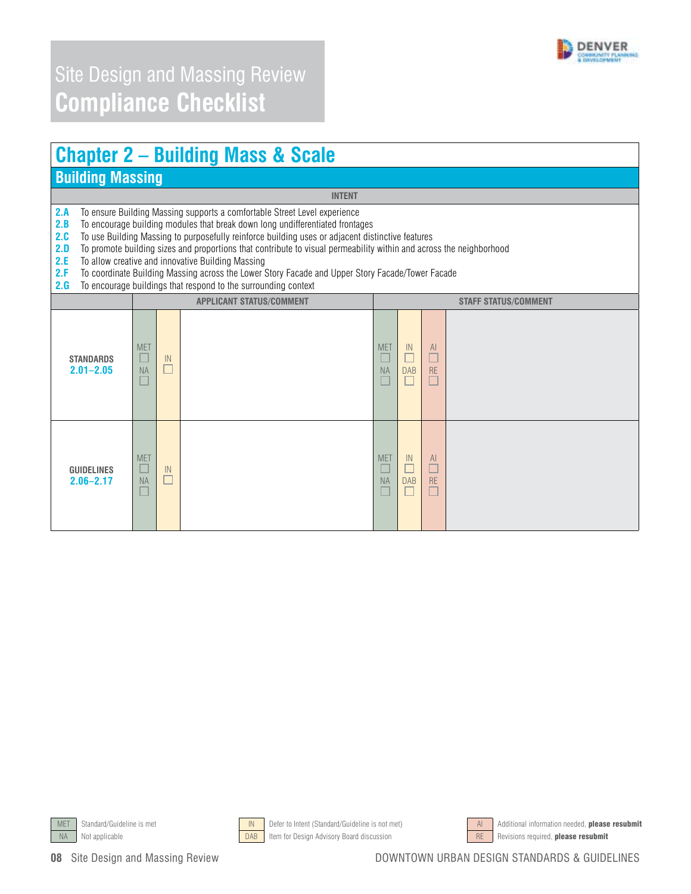

# **Chapter 2 – Building Mass & Scale**

#### **Building Massing**

**INTENT** 

**2.A** To ensure Building Massing supports a comfortable Street Level experience

**2.B** To encourage building modules that break down long undifferentiated frontages

2.C To use Building Massing to purposefully reinforce building uses or adjacent distinctive features

**2.D** To promote building sizes and proportions that contribute to visual permeability within and across the neighborhood

**2.E** To allow creative and innovative Building Massing **2.F** To coordinate Building Massing across the Lower S

2.F To coordinate Building Massing across the Lower Story Facade and Upper Story Facade/Tower Facade

**2.G** To encourage buildings that respond to the surrounding context

| <b>L.u</b> To choodiage buildings that respond to the surrounding context |                                                                                                         |                                 |                         |                             |                 |  |  |  |  |
|---------------------------------------------------------------------------|---------------------------------------------------------------------------------------------------------|---------------------------------|-------------------------|-----------------------------|-----------------|--|--|--|--|
|                                                                           |                                                                                                         | <b>APPLICANT STATUS/COMMENT</b> |                         | <b>STAFF STATUS/COMMENT</b> |                 |  |  |  |  |
| <b>STANDARDS</b><br>$2.01 - 2.05$                                         | <b>MET</b><br>${\sf IN}$<br>$\overline{\phantom{a}}$<br><b>NA</b><br>$\overline{\phantom{a}}$<br>$\Box$ |                                 | <b>MET</b><br><b>NA</b> | IN<br><b>DAB</b>            | AI<br><b>RE</b> |  |  |  |  |
| <b>GUIDELINES</b><br>$2.06 - 2.17$                                        | <b>MET</b><br>u<br>${\sf IN}$<br><b>NA</b><br>$\overline{\phantom{a}}$                                  |                                 | <b>MET</b><br>$\sf NA$  | IN<br><b>DAB</b>            | AI<br>RE        |  |  |  |  |





NA Not applicable **DAB** Item for Design Advisory Board discussion RE Revisions required, **please resubmit** 



MET Standard/Guideline is met **IN Defer to Intent (Standard/Guideline is not met)** AI Additional information needed, **please resubmit**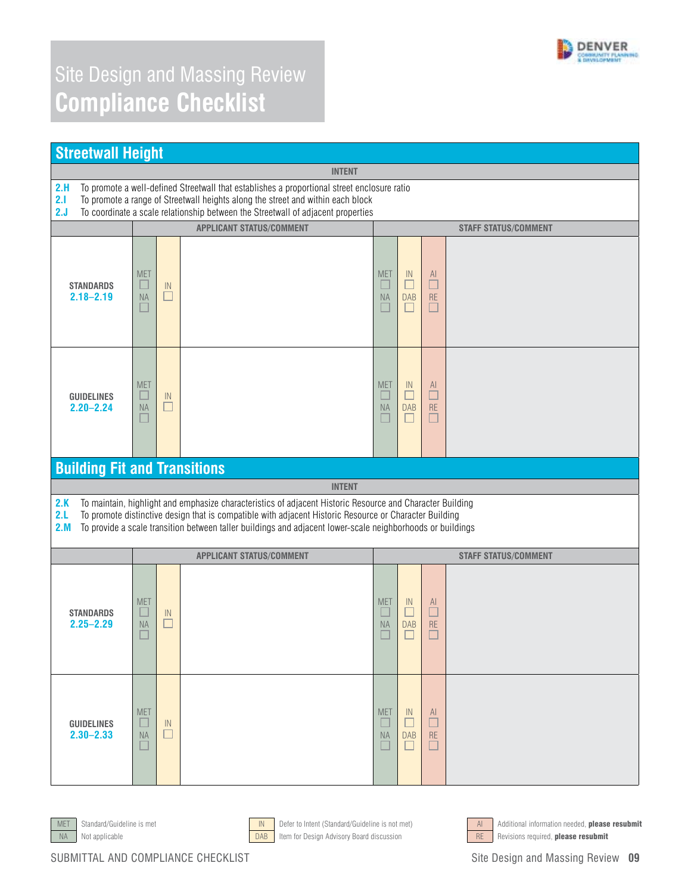

| <b>Streetwall Height</b>            |                                                                                                                                                                                                                                                                    |                                             |                                                                                                                                                                                                                                                                                                                                   |                                        |                                                |                                               |                             |  |  |  |
|-------------------------------------|--------------------------------------------------------------------------------------------------------------------------------------------------------------------------------------------------------------------------------------------------------------------|---------------------------------------------|-----------------------------------------------------------------------------------------------------------------------------------------------------------------------------------------------------------------------------------------------------------------------------------------------------------------------------------|----------------------------------------|------------------------------------------------|-----------------------------------------------|-----------------------------|--|--|--|
|                                     |                                                                                                                                                                                                                                                                    |                                             | <b>INTENT</b>                                                                                                                                                                                                                                                                                                                     |                                        |                                                |                                               |                             |  |  |  |
| 2.H<br>2.1<br>2.J                   | To promote a well-defined Streetwall that establishes a proportional street enclosure ratio<br>To promote a range of Streetwall heights along the street and within each block<br>To coordinate a scale relationship between the Streetwall of adjacent properties |                                             |                                                                                                                                                                                                                                                                                                                                   |                                        |                                                |                                               |                             |  |  |  |
|                                     |                                                                                                                                                                                                                                                                    |                                             | <b>APPLICANT STATUS/COMMENT</b>                                                                                                                                                                                                                                                                                                   |                                        |                                                |                                               | <b>STAFF STATUS/COMMENT</b> |  |  |  |
| <b>STANDARDS</b><br>$2.18 - 2.19$   | <b>MET</b><br><b>NA</b><br>ш                                                                                                                                                                                                                                       | $\ensuremath{\mathsf{IN}}\xspace$<br>$\Box$ |                                                                                                                                                                                                                                                                                                                                   | <b>MET</b><br>ш<br>NA<br>E             | IN<br>□<br><b>DAB</b><br>$\Box$                | $\underline{A}$<br>$\Box$<br>RE<br>$\Box$     |                             |  |  |  |
| <b>GUIDELINES</b><br>$2.20 - 2.24$  | <b>MET</b><br>ш<br><b>NA</b>                                                                                                                                                                                                                                       | IN<br>$\overline{\phantom{a}}$              |                                                                                                                                                                                                                                                                                                                                   | <b>MET</b><br>$\Box$<br><b>NA</b><br>г | $\mathbb{N}$<br>$\Box$<br><b>DAB</b><br>$\Box$ | $\mathsf{A}$<br>$\Box$<br><b>RE</b><br>$\Box$ |                             |  |  |  |
| <b>Building Fit and Transitions</b> |                                                                                                                                                                                                                                                                    |                                             |                                                                                                                                                                                                                                                                                                                                   |                                        |                                                |                                               |                             |  |  |  |
|                                     |                                                                                                                                                                                                                                                                    |                                             | <b>INTENT</b>                                                                                                                                                                                                                                                                                                                     |                                        |                                                |                                               |                             |  |  |  |
| 2.K<br>2.L<br>2.M                   |                                                                                                                                                                                                                                                                    |                                             | To maintain, highlight and emphasize characteristics of adjacent Historic Resource and Character Building<br>To promote distinctive design that is compatible with adjacent Historic Resource or Character Building<br>To provide a scale transition between taller buildings and adjacent lower-scale neighborhoods or buildings |                                        |                                                |                                               |                             |  |  |  |
|                                     |                                                                                                                                                                                                                                                                    |                                             | <b>APPLICANT STATUS/COMMENT</b>                                                                                                                                                                                                                                                                                                   |                                        |                                                |                                               | <b>STAFF STATUS/COMMENT</b> |  |  |  |
| <b>STANDARDS</b><br>$2.25 - 2.29$   | <b>MET</b><br><b>NA</b>                                                                                                                                                                                                                                            | IN<br>ш                                     |                                                                                                                                                                                                                                                                                                                                   | <b>MET</b><br>$\Box$<br><b>NA</b>      | IN<br>$\Box$<br><b>DAB</b>                     | $\mathsf{A}$<br>$\Box$<br><b>RE</b>           |                             |  |  |  |
| <b>GUIDELINES</b><br>$2.30 - 2.33$  | <b>MET</b><br><b>NA</b>                                                                                                                                                                                                                                            | IN                                          |                                                                                                                                                                                                                                                                                                                                   | <b>MET</b><br><b>NA</b>                | IN<br>Г<br><b>DAB</b>                          | AI.<br>Г<br><b>RE</b>                         |                             |  |  |  |







MET Standard/Guideline is met **IN Defer to Intent (Standard/Guideline** is not met) AI Additional information needed, **please resubmit** NA Not applicable **DAB** Item for Design Advisory Board discussion RE Revisions required, **please resubmit**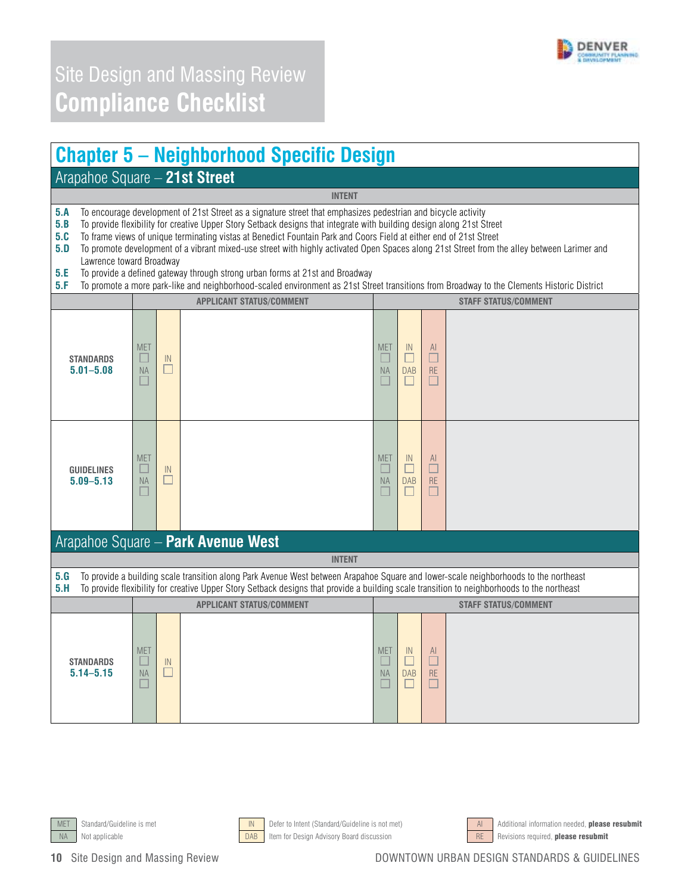

#### **Chapter 5 – Neighborhood Specific Design**

#### Arapahoe Square – **21st Street**

**5.A** To encourage development of 21st Street as a signature street that emphasizes pedestrian and bicycle activity

**5.B** To provide flexibility for creative Upper Story Setback designs that integrate with building design along 21st Street

**5.C** To frame views of unique terminating vistas at Benedict Fountain Park and Coors Field at either end of 21st Street from t<br>**5.D** To promote development of a vibrant mixed-use street with highly activated Open Spaces a **5.D** To promote development of a vibrant mixed-use street with highly activated Open Spaces along 21st Street from the alley between Larimer and Lawrence toward Broadway

**INTENT** 

- **5.E** To provide a defined gateway through strong urban forms at 21st and Broadway
- **5.F** To promote a more park-like and neighborhood-scaled environment as 21st Street transitions from Broadway to the Clements Historic District

|                                    |                                        |              | <b>APPLICANT STATUS/COMMENT</b>                                                                                                                                                                                                                                                    | <b>STAFF STATUS/COMMENT</b>                 |                                 |                                                |                             |  |  |
|------------------------------------|----------------------------------------|--------------|------------------------------------------------------------------------------------------------------------------------------------------------------------------------------------------------------------------------------------------------------------------------------------|---------------------------------------------|---------------------------------|------------------------------------------------|-----------------------------|--|--|
| <b>STANDARDS</b><br>$5.01 - 5.08$  | <b>MET</b><br>$\Box$<br><b>NA</b><br>H | IN<br>$\Box$ |                                                                                                                                                                                                                                                                                    | <b>MET</b><br>$\Box$<br><b>NA</b><br>$\Box$ | IN<br>П<br><b>DAB</b><br>$\Box$ | $\mathsf{Al}$<br>$\Box$<br><b>RE</b><br>$\Box$ |                             |  |  |
| <b>GUIDELINES</b><br>$5.09 - 5.13$ | <b>MET</b><br><b>NA</b><br>E           | IN<br>□      |                                                                                                                                                                                                                                                                                    | <b>MET</b><br>L<br><b>NA</b><br>L.          | IN<br><b>DAB</b>                | $\mathsf{Al}$<br><b>RE</b>                     |                             |  |  |
|                                    |                                        |              | Arapahoe Square - Park Avenue West                                                                                                                                                                                                                                                 |                                             |                                 |                                                |                             |  |  |
|                                    |                                        |              | <b>INTENT</b>                                                                                                                                                                                                                                                                      |                                             |                                 |                                                |                             |  |  |
| 5.G<br>5.H                         |                                        |              | To provide a building scale transition along Park Avenue West between Arapahoe Square and lower-scale neighborhoods to the northeast<br>To provide flexibility for creative Upper Story Setback designs that provide a building scale transition to neighborhoods to the northeast |                                             |                                 |                                                |                             |  |  |
|                                    |                                        |              | <b>APPLICANT STATUS/COMMENT</b>                                                                                                                                                                                                                                                    |                                             |                                 |                                                | <b>STAFF STATUS/COMMENT</b> |  |  |
| <b>STANDARDS</b><br>$5.14 - 5.15$  | <b>MET</b><br>U<br><b>NA</b>           | IN<br>□      |                                                                                                                                                                                                                                                                                    | <b>MET</b><br>L<br><b>NA</b><br>L           | IN<br>г<br><b>DAB</b>           | $\mathsf{Al}$<br>$\Box$<br><b>RE</b>           |                             |  |  |





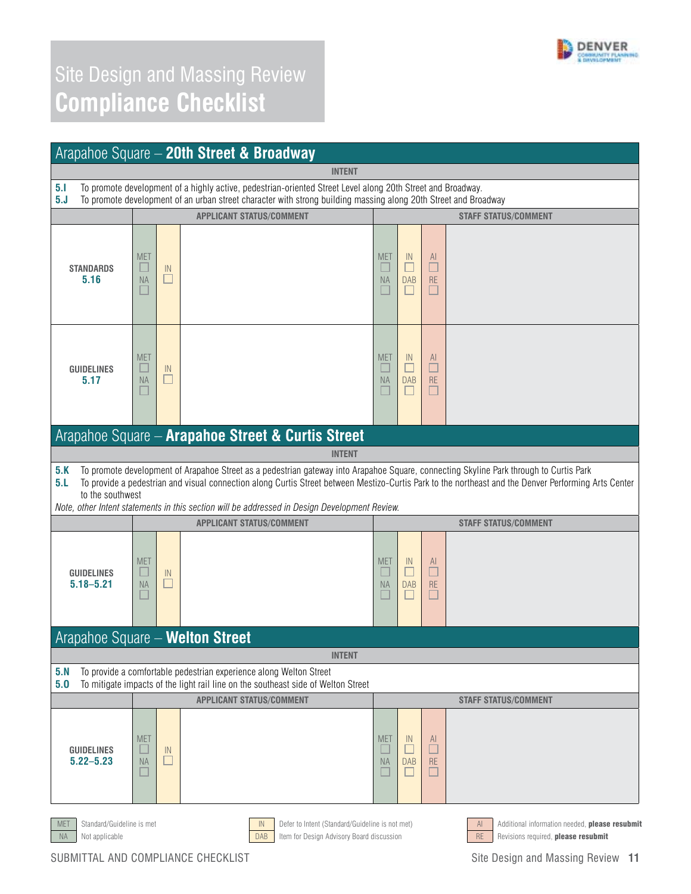

|                                         |                              |         | Arapahoe Square - 20th Street & Broadway                                                                                                                                                                                                                                                                                                                                                        |                         |                                 |                                         |                                                      |
|-----------------------------------------|------------------------------|---------|-------------------------------------------------------------------------------------------------------------------------------------------------------------------------------------------------------------------------------------------------------------------------------------------------------------------------------------------------------------------------------------------------|-------------------------|---------------------------------|-----------------------------------------|------------------------------------------------------|
|                                         |                              |         | <b>INTENT</b>                                                                                                                                                                                                                                                                                                                                                                                   |                         |                                 |                                         |                                                      |
| 5.1<br>5. J                             |                              |         | To promote development of a highly active, pedestrian-oriented Street Level along 20th Street and Broadway.<br>To promote development of an urban street character with strong building massing along 20th Street and Broadway                                                                                                                                                                  |                         |                                 |                                         |                                                      |
|                                         |                              |         | <b>APPLICANT STATUS/COMMENT</b>                                                                                                                                                                                                                                                                                                                                                                 |                         |                                 |                                         | <b>STAFF STATUS/COMMENT</b>                          |
| <b>STANDARDS</b><br>5.16                | <b>MET</b><br><b>NA</b>      | IN<br>□ |                                                                                                                                                                                                                                                                                                                                                                                                 | <b>MET</b><br><b>NA</b> | IN<br>□<br><b>DAB</b>           | AI.<br>$\Box$<br>RE<br>■                |                                                      |
| <b>GUIDELINES</b><br>5.17               | <b>MET</b><br>⊔<br><b>NA</b> | IN<br>□ |                                                                                                                                                                                                                                                                                                                                                                                                 | <b>MET</b><br><b>NA</b> | $\mathbb{N}$<br>L<br><b>DAB</b> | $\mathsf{Al}$<br>□<br>RE<br>$\Box$      |                                                      |
|                                         |                              |         | Arapahoe Square - Arapahoe Street & Curtis Street<br><b>INTENT</b>                                                                                                                                                                                                                                                                                                                              |                         |                                 |                                         |                                                      |
| 5.K<br>5.L<br>to the southwest          |                              |         | To promote development of Arapahoe Street as a pedestrian gateway into Arapahoe Square, connecting Skyline Park through to Curtis Park<br>To provide a pedestrian and visual connection along Curtis Street between Mestizo-Curtis Park to the northeast and the Denver Performing Arts Center<br>Note, other Intent statements in this section will be addressed in Design Development Review. |                         |                                 |                                         |                                                      |
|                                         |                              |         | <b>APPLICANT STATUS/COMMENT</b>                                                                                                                                                                                                                                                                                                                                                                 |                         |                                 |                                         | <b>STAFF STATUS/COMMENT</b>                          |
| <b>GUIDELINES</b><br>$5.18 - 5.21$      | <b>MET</b><br><b>NA</b>      | IN<br>□ |                                                                                                                                                                                                                                                                                                                                                                                                 | <b>MET</b><br><b>NA</b> | $\mathbb{N}$<br>□<br><b>DAB</b> | AI.<br>□<br><b>RE</b><br>$\blacksquare$ |                                                      |
| Arapahoe Square - Welton Street         |                              |         |                                                                                                                                                                                                                                                                                                                                                                                                 |                         |                                 |                                         |                                                      |
|                                         |                              |         | <b>INTENT</b>                                                                                                                                                                                                                                                                                                                                                                                   |                         |                                 |                                         |                                                      |
| 5. N<br>5.0                             |                              |         | To provide a comfortable pedestrian experience along Welton Street<br>To mitigate impacts of the light rail line on the southeast side of Welton Street                                                                                                                                                                                                                                         |                         |                                 |                                         |                                                      |
|                                         |                              |         | <b>APPLICANT STATUS/COMMENT</b>                                                                                                                                                                                                                                                                                                                                                                 |                         |                                 |                                         | <b>STAFF STATUS/COMMENT</b>                          |
| <b>GUIDELINES</b><br>$5.22 - 5.23$      | <b>MET</b><br><b>NA</b>      | IN<br>□ |                                                                                                                                                                                                                                                                                                                                                                                                 | <b>MET</b><br><b>NA</b> | $\mathbb{N}$<br><b>DAB</b>      | AI.<br>$\blacksquare$<br><b>RE</b><br>П |                                                      |
| Standard/Guideline is met<br><b>MET</b> |                              |         | Defer to Intent (Standard/Guideline is not met)<br>IN                                                                                                                                                                                                                                                                                                                                           |                         |                                 |                                         | Additional information needed, please resubmit<br>AI |



NA Not applicable **DAB** Item for Design Advisory Board discussion RE Revisions required, **please resubmit**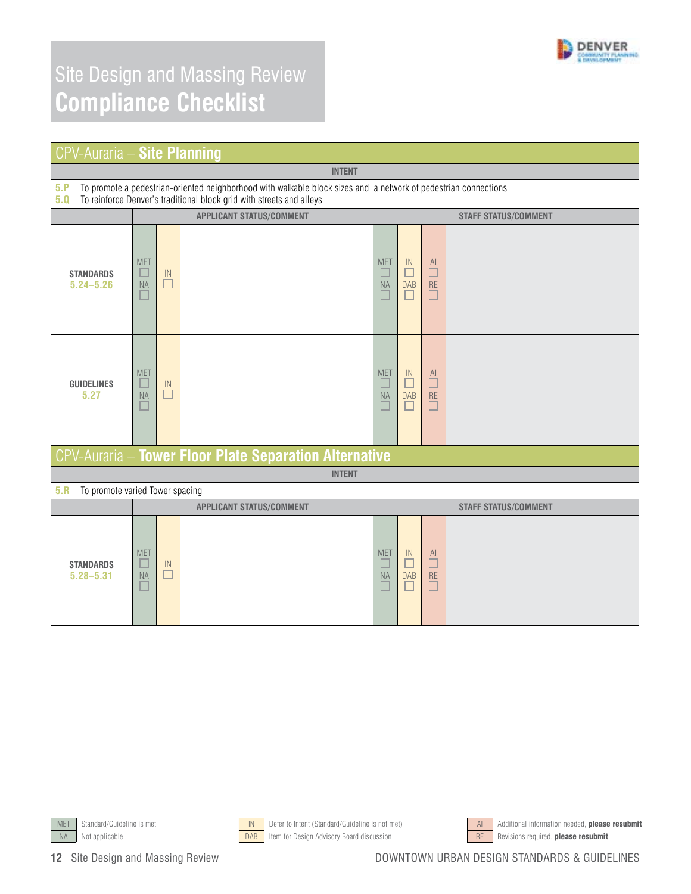

| <b>CPV-Auraria - Site Planning</b>                                                                                                                                                                    |                                        |               |                                                               |                                             |                                      |                                |                             |  |
|-------------------------------------------------------------------------------------------------------------------------------------------------------------------------------------------------------|----------------------------------------|---------------|---------------------------------------------------------------|---------------------------------------------|--------------------------------------|--------------------------------|-----------------------------|--|
| <b>INTENT</b>                                                                                                                                                                                         |                                        |               |                                                               |                                             |                                      |                                |                             |  |
| 5.P<br>To promote a pedestrian-oriented neighborhood with walkable block sizes and a network of pedestrian connections<br>To reinforce Denver's traditional block grid with streets and alleys<br>5.0 |                                        |               |                                                               |                                             |                                      |                                |                             |  |
|                                                                                                                                                                                                       |                                        |               | <b>APPLICANT STATUS/COMMENT</b>                               |                                             |                                      |                                | <b>STAFF STATUS/COMMENT</b> |  |
| <b>STANDARDS</b><br>$5.24 - 5.26$                                                                                                                                                                     | <b>MET</b><br>H<br>NA<br>$\Box$        | IN<br>$\Box$  |                                                               | <b>MET</b><br>E<br>NA<br>$\Box$             | IN<br>г<br><b>DAB</b><br>$\Box$      | AI<br>$\Box$<br>RE<br>$\Box$   |                             |  |
| <b>GUIDELINES</b><br>5.27                                                                                                                                                                             | <b>MET</b><br>$\Box$<br><b>NA</b>      | $\sf IN$<br>□ |                                                               | <b>MET</b><br>$\Box$<br>NA<br>П             | IN<br>□<br><b>DAB</b><br>П           | AI<br>$\Box$<br>RE<br>$\Box$   |                             |  |
|                                                                                                                                                                                                       |                                        |               | <b>CPV-Auraria - Tower Floor Plate Separation Alternative</b> |                                             |                                      |                                |                             |  |
|                                                                                                                                                                                                       |                                        |               | <b>INTENT</b>                                                 |                                             |                                      |                                |                             |  |
| 5.R<br>To promote varied Tower spacing                                                                                                                                                                |                                        |               |                                                               |                                             |                                      |                                |                             |  |
|                                                                                                                                                                                                       |                                        |               | <b>APPLICANT STATUS/COMMENT</b>                               |                                             |                                      |                                | <b>STAFF STATUS/COMMENT</b> |  |
| <b>STANDARDS</b><br>$5.28 - 5.31$                                                                                                                                                                     | <b>MET</b><br>$\Box$<br><b>NA</b><br>E | IN<br>□       |                                                               | <b>MET</b><br>$\Box$<br><b>NA</b><br>$\Box$ | IN<br>$\Box$<br><b>DAB</b><br>$\Box$ | AI<br>$\Box$<br><b>RE</b><br>□ |                             |  |





NA Not applicable **Example 20 COAB** Item for Design Advisory Board discussion RE Revisions required, **please resubmit** 



MET Standard/Guideline is met **IN Defer to Intent (Standard/Guideline is not met)** And Additional information needed, **please resubmit**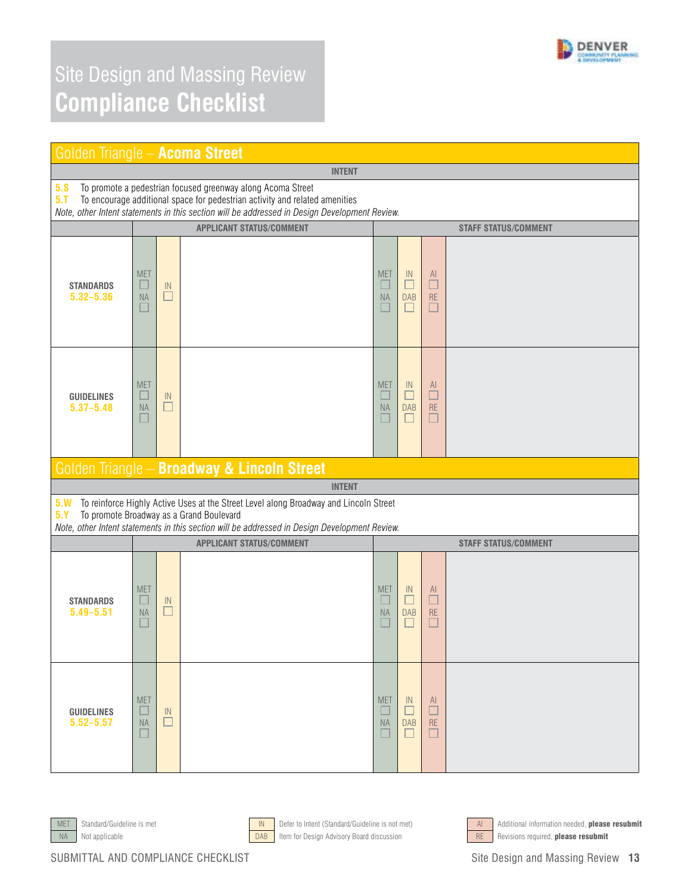

|                                                                                                                                                                                                                                                           | Golden Triangle - Acoma Street |                                             |                                                                                                                                                                                                                                    |                             |                                      |                                                |                             |  |  |
|-----------------------------------------------------------------------------------------------------------------------------------------------------------------------------------------------------------------------------------------------------------|--------------------------------|---------------------------------------------|------------------------------------------------------------------------------------------------------------------------------------------------------------------------------------------------------------------------------------|-----------------------------|--------------------------------------|------------------------------------------------|-----------------------------|--|--|
|                                                                                                                                                                                                                                                           |                                |                                             | <b>INTENT</b>                                                                                                                                                                                                                      |                             |                                      |                                                |                             |  |  |
| 5.8<br>To promote a pedestrian focused greenway along Acoma Street<br>5.1<br>To encourage additional space for pedestrian activity and related amenities<br>Note, other Intent statements in this section will be addressed in Design Development Review. |                                |                                             |                                                                                                                                                                                                                                    |                             |                                      |                                                |                             |  |  |
|                                                                                                                                                                                                                                                           |                                |                                             | <b>APPLICANT STATUS/COMMENT</b>                                                                                                                                                                                                    |                             |                                      |                                                | <b>STAFF STATUS/COMMENT</b> |  |  |
| <b>STANDARDS</b><br>$5.32 - 5.36$                                                                                                                                                                                                                         | <b>MET</b><br><b>NA</b>        | $\ensuremath{\mathsf{IN}}\xspace$<br>$\Box$ |                                                                                                                                                                                                                                    | <b>MET</b><br><b>NA</b>     | IN<br>$\Box$<br><b>DAB</b><br>П      | <sup>Al</sup><br>$\Box$<br><b>RE</b><br>$\Box$ |                             |  |  |
| <b>GUIDELINES</b><br>$5.37 - 5.48$                                                                                                                                                                                                                        | <b>MET</b><br><b>NA</b>        | $\ensuremath{\mathsf{IN}}\xspace$<br>□      |                                                                                                                                                                                                                                    | <b>MET</b><br><b>NA</b>     | IN<br>□<br><b>DAB</b><br>$\Box$      | $\mathsf{Al}$<br>$\Box$<br><b>RE</b>           |                             |  |  |
|                                                                                                                                                                                                                                                           |                                |                                             | Golden Triangle - Broadway & Lincoln Street                                                                                                                                                                                        |                             |                                      |                                                |                             |  |  |
|                                                                                                                                                                                                                                                           |                                |                                             | <b>INTENT</b>                                                                                                                                                                                                                      |                             |                                      |                                                |                             |  |  |
| 5. W<br>5. Y                                                                                                                                                                                                                                              |                                |                                             | To reinforce Highly Active Uses at the Street Level along Broadway and Lincoln Street<br>To promote Broadway as a Grand Boulevard<br>Note, other Intent statements in this section will be addressed in Design Development Review. |                             |                                      |                                                |                             |  |  |
|                                                                                                                                                                                                                                                           |                                |                                             | <b>APPLICANT STATUS/COMMENT</b>                                                                                                                                                                                                    | <b>STAFF STATUS/COMMENT</b> |                                      |                                                |                             |  |  |
| <b>STANDARDS</b><br>$5.49 - 5.51$                                                                                                                                                                                                                         | <b>MET</b><br><b>NA</b>        | IN<br>$\Box$                                |                                                                                                                                                                                                                                    | <b>MET</b><br>NA            | IN<br>□<br><b>DAB</b><br>$\Box$      | $\begin{array}{c}\nA1 \\ D\n\end{array}$<br>RE |                             |  |  |
| <b>GUIDELINES</b><br>$5.52 - 5.57$                                                                                                                                                                                                                        | <b>MET</b><br><b>NA</b>        | IN<br>П                                     |                                                                                                                                                                                                                                    | <b>MET</b><br><b>NA</b>     | $\mathbb{N}$<br><b>DAB</b><br>$\Box$ | <sup>Al</sup><br><b>RE</b><br>□                |                             |  |  |







MET Standard/Guideline is met **IN Defer to Intent (Standard/Guideline** is not met) AI Additional information needed, **please resubmit** NA Not applicable **DAB** Item for Design Advisory Board discussion RE Revisions required, **please resubmit**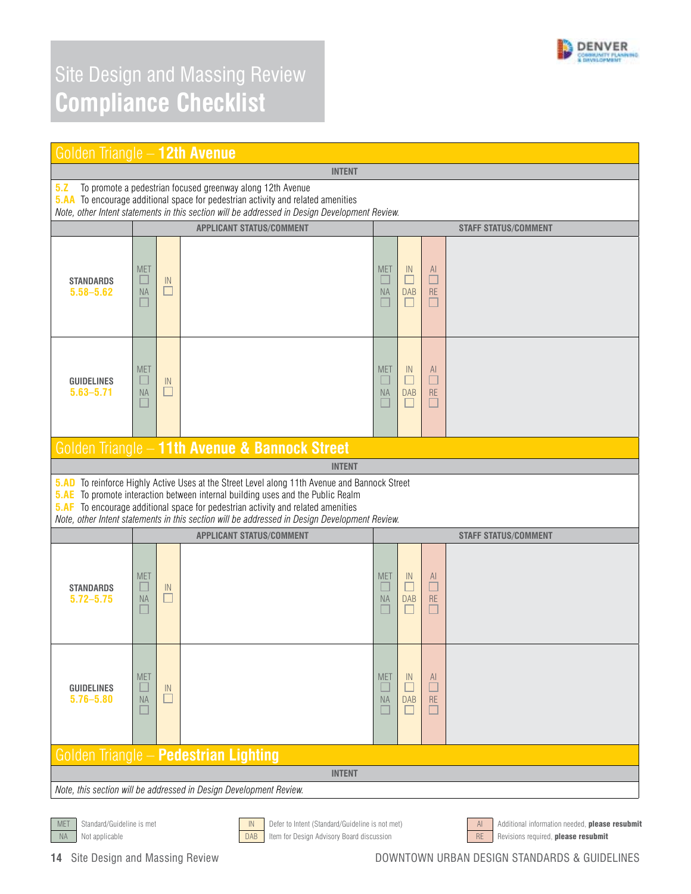

| Golden Triangle - 12th Avenue                                                                                                                                                                                                                                 |                                       |                         |                                                                                                                                                                                                                                                                                                                                                                                     |                                         |                                 |                                 |                             |  |
|---------------------------------------------------------------------------------------------------------------------------------------------------------------------------------------------------------------------------------------------------------------|---------------------------------------|-------------------------|-------------------------------------------------------------------------------------------------------------------------------------------------------------------------------------------------------------------------------------------------------------------------------------------------------------------------------------------------------------------------------------|-----------------------------------------|---------------------------------|---------------------------------|-----------------------------|--|
|                                                                                                                                                                                                                                                               |                                       |                         | <b>INTENT</b>                                                                                                                                                                                                                                                                                                                                                                       |                                         |                                 |                                 |                             |  |
| 5.2<br>To promote a pedestrian focused greenway along 12th Avenue<br><b>5.AA</b> To encourage additional space for pedestrian activity and related amenities<br>Note, other Intent statements in this section will be addressed in Design Development Review. |                                       |                         |                                                                                                                                                                                                                                                                                                                                                                                     |                                         |                                 |                                 |                             |  |
|                                                                                                                                                                                                                                                               |                                       |                         | <b>APPLICANT STATUS/COMMENT</b>                                                                                                                                                                                                                                                                                                                                                     |                                         |                                 |                                 | <b>STAFF STATUS/COMMENT</b> |  |
| <b>STANDARDS</b><br>$5.58 - 5.62$                                                                                                                                                                                                                             | <b>MET</b><br>ш<br><b>NA</b>          | $\mathbb{N}$<br>$\Box$  |                                                                                                                                                                                                                                                                                                                                                                                     | <b>MET</b><br>$\Box$<br><b>NA</b><br>L. | IN<br>$\Box$<br><b>DAB</b><br>П | AI<br>$\Box$<br><b>RE</b>       |                             |  |
| <b>GUIDELINES</b><br>$5.63 - 5.71$                                                                                                                                                                                                                            | <b>MET</b><br>ш<br><b>NA</b>          | $\mathsf{IN}$           |                                                                                                                                                                                                                                                                                                                                                                                     | <b>MET</b><br>$\Box$<br><b>NA</b>       | IN<br>□<br><b>DAB</b><br>П      | AI<br>$\Box$<br><b>RE</b>       |                             |  |
|                                                                                                                                                                                                                                                               |                                       |                         | Golden Triangle - 11th Avenue & Bannock Street                                                                                                                                                                                                                                                                                                                                      |                                         |                                 |                                 |                             |  |
|                                                                                                                                                                                                                                                               |                                       |                         | <b>INTENT</b>                                                                                                                                                                                                                                                                                                                                                                       |                                         |                                 |                                 |                             |  |
|                                                                                                                                                                                                                                                               |                                       |                         | 5.AD To reinforce Highly Active Uses at the Street Level along 11th Avenue and Bannock Street<br><b>5.AE</b> To promote interaction between internal building uses and the Public Realm<br><b>5.AF</b> To encourage additional space for pedestrian activity and related amenities<br>Note, other Intent statements in this section will be addressed in Design Development Review. |                                         |                                 |                                 |                             |  |
|                                                                                                                                                                                                                                                               |                                       |                         | <b>APPLICANT STATUS/COMMENT</b>                                                                                                                                                                                                                                                                                                                                                     |                                         |                                 |                                 | <b>STAFF STATUS/COMMENT</b> |  |
| <b>STANDARDS</b><br>$5.72 - 5.75$                                                                                                                                                                                                                             | <b>MET</b><br><b>NA</b>               | $\mathsf{IN}$<br>$\Box$ |                                                                                                                                                                                                                                                                                                                                                                                     | <b>MET</b><br>u<br><b>NA</b><br>L       | IN<br>□<br><b>DAB</b><br>□      | AI<br>$\Box$<br><b>RE</b>       |                             |  |
| <b>GUIDELINES</b><br>$5.76 - 5.80$                                                                                                                                                                                                                            | <b>MET</b><br><b>NA</b>               | $\mathsf{IN}$<br>$\Box$ |                                                                                                                                                                                                                                                                                                                                                                                     | <b>MET</b><br>L<br><b>NA</b>            | IN<br>Г<br><b>DAB</b><br>Г      | $\underline{A}$<br>$\Box$<br>RE |                             |  |
|                                                                                                                                                                                                                                                               | Golden Triangle - Pedestrian Lighting |                         |                                                                                                                                                                                                                                                                                                                                                                                     |                                         |                                 |                                 |                             |  |
| <b>INTENT</b>                                                                                                                                                                                                                                                 |                                       |                         |                                                                                                                                                                                                                                                                                                                                                                                     |                                         |                                 |                                 |                             |  |
|                                                                                                                                                                                                                                                               |                                       |                         | Note, this section will be addressed in Design Development Review.                                                                                                                                                                                                                                                                                                                  |                                         |                                 |                                 |                             |  |
|                                                                                                                                                                                                                                                               |                                       |                         |                                                                                                                                                                                                                                                                                                                                                                                     |                                         |                                 |                                 |                             |  |

MET Standard/Guideline is met **IN Defer to Intent (Standard/Guideline is not met)** And Additional information needed, **please resubmit** NA Not applicable **Example 20 COAB** Item for Design Advisory Board discussion RE Revisions required, **please resubmit**